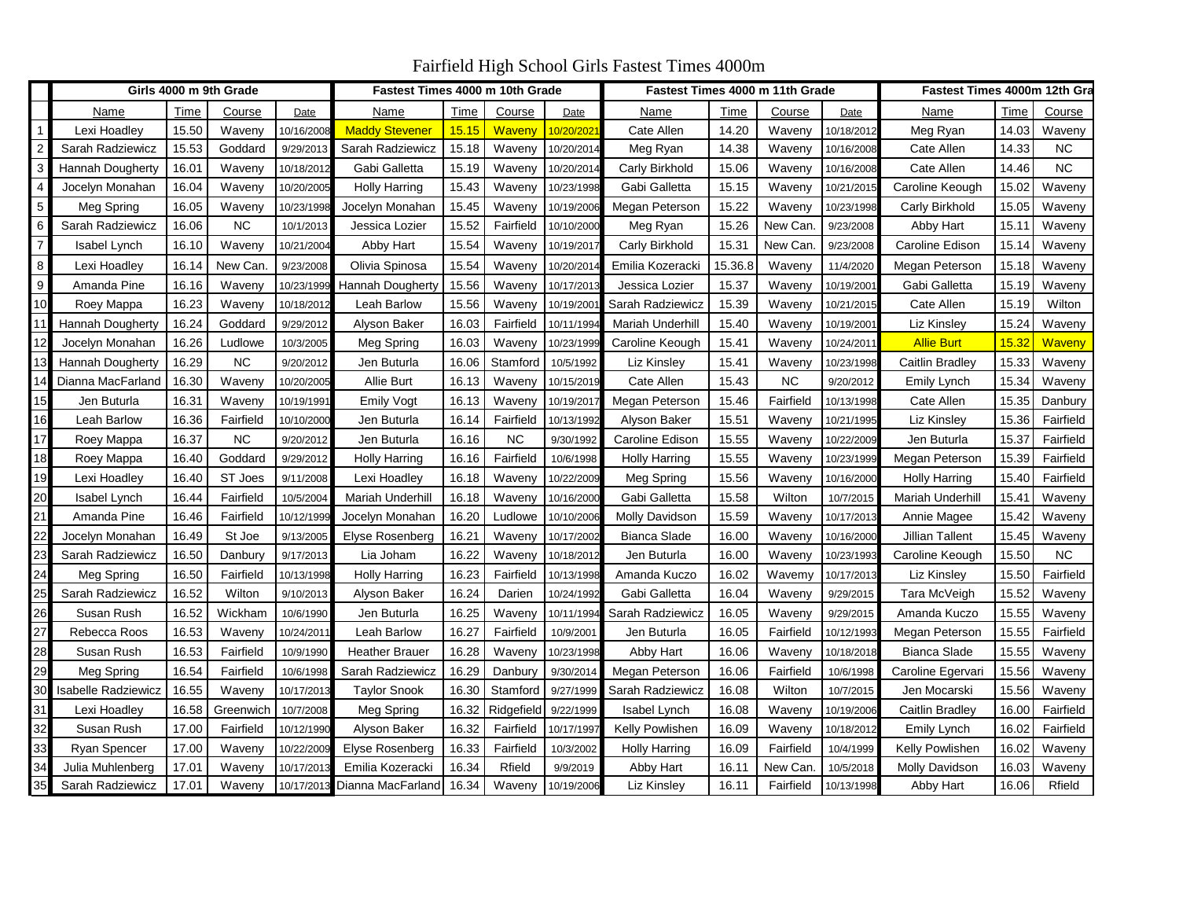Fairfield High School Girls Fastest Times 4000m

|                 | Girls 4000 m 9th Grade     |       |           |                        | Fastest Times 4000 m 10th Grade |       |            |            | Fastest Times 4000 m 11th Grade |         |           |            | Fastest Times 4000m 12th Gra |       |           |
|-----------------|----------------------------|-------|-----------|------------------------|---------------------------------|-------|------------|------------|---------------------------------|---------|-----------|------------|------------------------------|-------|-----------|
|                 | Name                       | Time  | Course    | Date                   | Name                            | Time  | Course     | Date       | Name                            | Time    | Course    | Date       | Name                         | Time  | Course    |
| $\mathbf 1$     | Lexi Hoadley               | 15.50 | Waveny    | 10/16/2008             | <b>Maddy Stevener</b>           | 15.15 | Waveny     | 10/20/202  | Cate Allen                      | 14.20   | Waveny    | 10/18/2012 | Meg Ryan                     | 14.03 | Waveny    |
| 2               | Sarah Radziewicz           | 15.53 | Goddard   | 9/29/2013              | Sarah Radziewicz                | 15.18 | Waveny     | 10/20/2014 | Meg Ryan                        | 14.38   | Waveny    | 10/16/2008 | Cate Allen                   | 14.33 | <b>NC</b> |
| $\mathbf{3}$    | <b>Hannah Dougherty</b>    | 16.01 | Waveny    | 10/18/201              | Gabi Galletta                   | 15.19 | Waveny     | 10/20/201  | Carly Birkhold                  | 15.06   | Waveny    | 10/16/2008 | Cate Allen                   | 14.46 | <b>NC</b> |
| $\overline{4}$  | Jocelyn Monahan            | 16.04 | Waveny    | 10/20/2005             | <b>Holly Harring</b>            | 15.43 | Waveny     | 10/23/1998 | Gabi Galletta                   | 15.15   | Waveny    | 10/21/2015 | Caroline Keough              | 15.02 | Waveny    |
| $5\phantom{.0}$ | Meg Spring                 | 16.05 | Waveny    | 10/23/1998             | Jocelyn Monahan                 | 15.45 | Waveny     | 10/19/200  | Megan Peterson                  | 15.22   | Waveny    | 10/23/1998 | Carly Birkhold               | 15.05 | Waveny    |
| 6               | Sarah Radziewicz           | 16.06 | <b>NC</b> | 10/1/2013              | Jessica Lozier                  | 15.52 | Fairfield  | 10/10/200  | Meg Ryan                        | 15.26   | New Can.  | 9/23/2008  | Abby Hart                    | 15.11 | Waveny    |
| $\overline{7}$  | Isabel Lynch               | 16.10 | Waveny    | 10/21/2004             | Abby Hart                       | 15.54 | Waveny     | 10/19/201  | Carly Birkhold                  | 15.31   | New Can.  | 9/23/2008  | Caroline Edison              | 15.14 | Waveny    |
| 8               | Lexi Hoadley               | 16.14 | New Can.  | 9/23/2008              | Olivia Spinosa                  | 15.54 | Waveny     | 10/20/201  | Emilia Kozeracki                | 15.36.8 | Waveny    | 11/4/2020  | Megan Peterson               | 15.18 | Waveny    |
| 9               | Amanda Pine                | 16.16 | Waveny    | 10/23/1999             | Hannah Dougherty                | 15.56 | Waveny     | 10/17/201  | Jessica Lozier                  | 15.37   | Waveny    | 10/19/2001 | Gabi Galletta                | 15.19 | Waveny    |
| 10              | Roey Mappa                 | 16.23 | Waveny    | 10/18/201              | Leah Barlow                     | 15.56 | Waveny     | 10/19/200  | Sarah Radziewicz                | 15.39   | Waveny    | 10/21/2015 | Cate Allen                   | 15.19 | Wilton    |
| 11              | Hannah Dougherty           | 16.24 | Goddard   | 9/29/2012              | Alyson Baker                    | 16.03 | Fairfield  | 10/11/199  | <b>Mariah Underhill</b>         | 15.40   | Waveny    | 10/19/2001 | Liz Kinsley                  | 15.24 | Waveny    |
| 12              | Jocelyn Monahan            | 16.26 | Ludlowe   | 10/3/2005              | Meg Spring                      | 16.03 | Waveny     | 10/23/199  | Caroline Keough                 | 15.41   | Waveny    | 10/24/2011 | <b>Allie Burt</b>            | 15.32 | Waveny    |
| 13              | <b>Hannah Dougherty</b>    | 16.29 | <b>NC</b> | 9/20/2012              | Jen Buturla                     | 16.06 | Stamford   | 10/5/1992  | Liz Kinsley                     | 15.41   | Waveny    | 10/23/1998 | Caitlin Bradley              | 15.33 | Waveny    |
| 14              | Dianna MacFarland          | 16.30 | Waveny    | 10/20/200              | <b>Allie Burt</b>               | 16.13 | Waveny     | 10/15/2019 | Cate Allen                      | 15.43   | <b>NC</b> | 9/20/2012  | Emily Lynch                  | 15.34 | Waveny    |
| 15              | Jen Buturla                | 16.31 | Waveny    | 10/19/199 <sup>-</sup> | <b>Emily Vogt</b>               | 16.13 | Waveny     | 10/19/201  | Megan Peterson                  | 15.46   | Fairfield | 10/13/1998 | Cate Allen                   | 15.35 | Danbury   |
| 16              | Leah Barlow                | 16.36 | Fairfield | 10/10/2000             | Jen Buturla                     | 16.14 | Fairfield  | 10/13/1992 | Alyson Baker                    | 15.51   | Waveny    | 10/21/1995 | Liz Kinsley                  | 15.36 | Fairfield |
| 17              | Roey Mappa                 | 16.37 | <b>NC</b> | 9/20/2012              | Jen Buturla                     | 16.16 | <b>NC</b>  | 9/30/1992  | Caroline Edison                 | 15.55   | Waveny    | 10/22/2009 | Jen Buturla                  | 15.37 | Fairfield |
| 18              | Roey Mappa                 | 16.40 | Goddard   | 9/29/2012              | <b>Holly Harring</b>            | 16.16 | Fairfield  | 10/6/1998  | <b>Holly Harring</b>            | 15.55   | Waveny    | 10/23/1999 | Megan Peterson               | 15.39 | Fairfield |
| 19              | Lexi Hoadley               | 16.40 | ST Joes   | 9/11/2008              | Lexi Hoadley                    | 16.18 | Waveny     | 10/22/2009 | Meg Spring                      | 15.56   | Waveny    | 10/16/2000 | Holly Harring                | 15.40 | Fairfield |
| 20              | Isabel Lynch               | 16.44 | Fairfield | 10/5/2004              | Mariah Underhill                | 16.18 | Waveny     | 10/16/2000 | Gabi Galletta                   | 15.58   | Wilton    | 10/7/2015  | Mariah Underhill             | 15.41 | Waveny    |
| 21              | Amanda Pine                | 16.46 | Fairfield | 10/12/1999             | Jocelyn Monahan                 | 16.20 | Ludlowe    | 10/10/2006 | Molly Davidson                  | 15.59   | Waveny    | 10/17/2013 | Annie Magee                  | 15.42 | Waveny    |
| 22              | Jocelyn Monahan            | 16.49 | St Joe    | 9/13/2005              | Elyse Rosenberg                 | 16.21 | Waveny     | 10/17/2002 | Bianca Slade                    | 16.00   | Waveny    | 10/16/2000 | <b>Jillian Tallent</b>       | 15.45 | Waveny    |
| 23              | Sarah Radziewicz           | 16.50 | Danbury   | 9/17/2013              | Lia Joham                       | 16.22 | Waveny     | 10/18/2012 | Jen Buturla                     | 16.00   | Waveny    | 10/23/1993 | Caroline Keough              | 15.50 | <b>NC</b> |
| 24              | Meg Spring                 | 16.50 | Fairfield | 10/13/1998             | Holly Harring                   | 16.23 | Fairfield  | 10/13/199  | Amanda Kuczo                    | 16.02   | Wavemy    | 10/17/2013 | Liz Kinsley                  | 15.50 | Fairfield |
| 25              | Sarah Radziewicz           | 16.52 | Wilton    | 9/10/2013              | Alyson Baker                    | 16.24 | Darien     | 10/24/1992 | Gabi Galletta                   | 16.04   | Waveny    | 9/29/2015  | Tara McVeigh                 | 15.52 | Waveny    |
| 26              | Susan Rush                 | 16.52 | Wickham   | 10/6/1990              | Jen Buturla                     | 16.25 | Waveny     | 10/11/199  | Sarah Radziewicz                | 16.05   | Waveny    | 9/29/2015  | Amanda Kuczo                 | 15.55 | Waveny    |
| 27              | Rebecca Roos               | 16.53 | Waveny    | 10/24/201              | Leah Barlow                     | 16.27 | Fairfield  | 10/9/2001  | Jen Buturla                     | 16.05   | Fairfield | 10/12/1993 | Megan Peterson               | 15.55 | Fairfield |
| 28              | Susan Rush                 | 16.53 | Fairfield | 10/9/1990              | <b>Heather Brauer</b>           | 16.28 | Waveny     | 10/23/1998 | Abby Hart                       | 16.06   | Waveny    | 10/18/2018 | Bianca Slade                 | 15.55 | Waveny    |
| 29              | Meg Spring                 | 16.54 | Fairfield | 10/6/1998              | Sarah Radziewicz                | 16.29 | Danbury    | 9/30/2014  | Megan Peterson                  | 16.06   | Fairfield | 10/6/1998  | Caroline Egervari            | 15.56 | Waveny    |
| 30              | <b>Isabelle Radziewicz</b> | 16.55 | Waveny    | 10/17/201              | <b>Taylor Snook</b>             | 16.30 | Stamford   | 9/27/1999  | Sarah Radziewicz                | 16.08   | Wilton    | 10/7/2015  | Jen Mocarski                 | 15.56 | Waveny    |
| 31              | Lexi Hoadley               | 16.58 | Greenwich | 10/7/2008              | Meg Spring                      | 16.32 | Ridgefield | 9/22/1999  | Isabel Lynch                    | 16.08   | Waveny    | 10/19/2006 | Caitlin Bradley              | 16.00 | Fairfield |
| 32              | Susan Rush                 | 17.00 | Fairfield | 10/12/1990             | Alyson Baker                    | 16.32 | Fairfield  | 10/17/199  | Kelly Powlishen                 | 16.09   | Waveny    | 10/18/2012 | Emily Lynch                  | 16.02 | Fairfield |
| 33              | Ryan Spencer               | 17.00 | Waveny    | 10/22/200              | Elyse Rosenberg                 | 16.33 | Fairfield  | 10/3/2002  | <b>Holly Harring</b>            | 16.09   | Fairfield | 10/4/1999  | Kelly Powlishen              | 16.02 | Waveny    |
| 34              | Julia Muhlenberg           | 17.01 | Waveny    | 10/17/201              | Emilia Kozeracki                | 16.34 | Rfield     | 9/9/2019   | Abby Hart                       | 16.11   | New Can   | 10/5/2018  | Molly Davidson               | 16.03 | Waveny    |
| 35              | Sarah Radziewicz           | 17.01 | Waveny    | 10/17/2013             | Dianna MacFarland               | 16.34 | Waveny     | 10/19/2006 | Liz Kinsley                     | 16.11   | Fairfield | 10/13/1998 | Abby Hart                    | 16.06 | Rfield    |